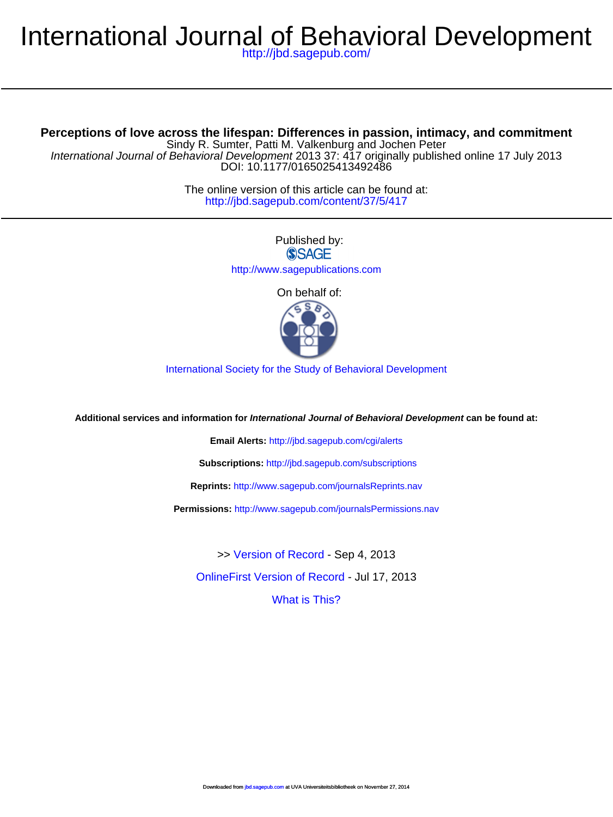# <http://jbd.sagepub.com/> International Journal of Behavioral Development

DOI: 10.1177/0165025413492486 International Journal of Behavioral Development 2013 37: 417 originally published online 17 July 2013 Sindy R. Sumter, Patti M. Valkenburg and Jochen Peter **Perceptions of love across the lifespan: Differences in passion, intimacy, and commitment**

> <http://jbd.sagepub.com/content/37/5/417> The online version of this article can be found at:



[International Society for the Study of Behavioral Development](http://www.issbd.org)

**Additional services and information for International Journal of Behavioral Development can be found at:**

**Email Alerts:** <http://jbd.sagepub.com/cgi/alerts>

**Subscriptions:** <http://jbd.sagepub.com/subscriptions>

**Reprints:** <http://www.sagepub.com/journalsReprints.nav>

**Permissions:** <http://www.sagepub.com/journalsPermissions.nav>

>> [Version of Record -](http://jbd.sagepub.com/content/37/5/417.full.pdf) Sep 4, 2013

[OnlineFirst Version of Record -](http://jbd.sagepub.com/content/early/2013/07/15/0165025413492486.full.pdf) Jul 17, 2013

[What is This?](http://online.sagepub.com/site/sphelp/vorhelp.xhtml)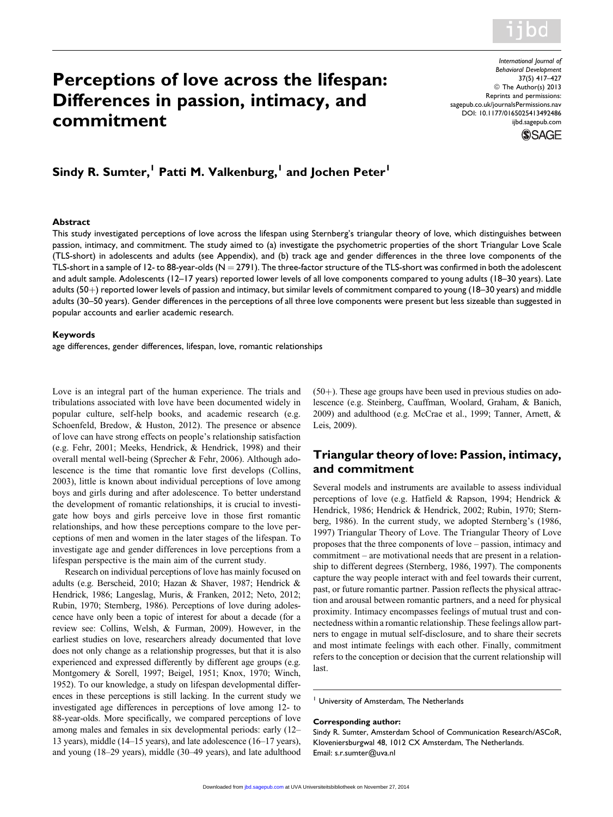

# Perceptions of love across the lifespan: Differences in passion, intimacy, and commitment

International lournal of Behavioral Development 37(5) 417–427 © The Author(s) 2013 Reprints and permissions: [sagepub.co.uk/journalsPermissions.nav](http://www.sagepub.co.uk/journalsPermissions.nav) DOI: 10.1177/0165025413492486 [ijbd.sagepub.com](http://ijbd.sagepub.com)



# Sindy R. Sumter,<sup>1</sup> Patti M. Valkenburg,<sup>1</sup> and Jochen Peter<sup>1</sup>

#### Abstract

This study investigated perceptions of love across the lifespan using Sternberg's triangular theory of love, which distinguishes between passion, intimacy, and commitment. The study aimed to (a) investigate the psychometric properties of the short Triangular Love Scale (TLS-short) in adolescents and adults (see Appendix), and (b) track age and gender differences in the three love components of the TLS-short in a sample of 12- to 88-year-olds ( $N = 2791$ ). The three-factor structure of the TLS-short was confirmed in both the adolescent and adult sample. Adolescents (12–17 years) reported lower levels of all love components compared to young adults (18–30 years). Late adults (50+) reported lower levels of passion and intimacy, but similar levels of commitment compared to young (18–30 years) and middle adults (30–50 years). Gender differences in the perceptions of all three love components were present but less sizeable than suggested in popular accounts and earlier academic research.

#### Keywords

age differences, gender differences, lifespan, love, romantic relationships

Love is an integral part of the human experience. The trials and tribulations associated with love have been documented widely in popular culture, self-help books, and academic research (e.g. Schoenfeld, Bredow, & Huston, 2012). The presence or absence of love can have strong effects on people's relationship satisfaction (e.g. Fehr, 2001; Meeks, Hendrick, & Hendrick, 1998) and their overall mental well-being (Sprecher & Fehr, 2006). Although adolescence is the time that romantic love first develops (Collins, 2003), little is known about individual perceptions of love among boys and girls during and after adolescence. To better understand the development of romantic relationships, it is crucial to investigate how boys and girls perceive love in those first romantic relationships, and how these perceptions compare to the love perceptions of men and women in the later stages of the lifespan. To investigate age and gender differences in love perceptions from a lifespan perspective is the main aim of the current study.

Research on individual perceptions of love has mainly focused on adults (e.g. Berscheid, 2010; Hazan & Shaver, 1987; Hendrick & Hendrick, 1986; Langeslag, Muris, & Franken, 2012; Neto, 2012; Rubin, 1970; Sternberg, 1986). Perceptions of love during adolescence have only been a topic of interest for about a decade (for a review see: Collins, Welsh, & Furman, 2009). However, in the earliest studies on love, researchers already documented that love does not only change as a relationship progresses, but that it is also experienced and expressed differently by different age groups (e.g. Montgomery & Sorell, 1997; Beigel, 1951; Knox, 1970; Winch, 1952). To our knowledge, a study on lifespan developmental differences in these perceptions is still lacking. In the current study we investigated age differences in perceptions of love among 12- to 88-year-olds. More specifically, we compared perceptions of love among males and females in six developmental periods: early (12– 13 years), middle (14–15 years), and late adolescence (16–17 years), and young (18–29 years), middle (30–49 years), and late adulthood  $(50+)$ . These age groups have been used in previous studies on adolescence (e.g. Steinberg, Cauffman, Woolard, Graham, & Banich, 2009) and adulthood (e.g. McCrae et al., 1999; Tanner, Arnett, & Leis, 2009).

## Triangular theory of love: Passion, intimacy, and commitment

Several models and instruments are available to assess individual perceptions of love (e.g. Hatfield & Rapson, 1994; Hendrick & Hendrick, 1986; Hendrick & Hendrick, 2002; Rubin, 1970; Sternberg, 1986). In the current study, we adopted Sternberg's (1986, 1997) Triangular Theory of Love. The Triangular Theory of Love proposes that the three components of love – passion, intimacy and commitment – are motivational needs that are present in a relationship to different degrees (Sternberg, 1986, 1997). The components capture the way people interact with and feel towards their current, past, or future romantic partner. Passion reflects the physical attraction and arousal between romantic partners, and a need for physical proximity. Intimacy encompasses feelings of mutual trust and connectedness within a romantic relationship. These feelings allow partners to engage in mutual self-disclosure, and to share their secrets and most intimate feelings with each other. Finally, commitment refers to the conception or decision that the current relationship will last.

<sup>1</sup> University of Amsterdam, The Netherlands

#### Corresponding author:

Sindy R. Sumter, Amsterdam School of Communication Research/ASCoR, Kloveniersburgwal 48, 1012 CX Amsterdam, The Netherlands. Email: s.r.sumter@uva.nl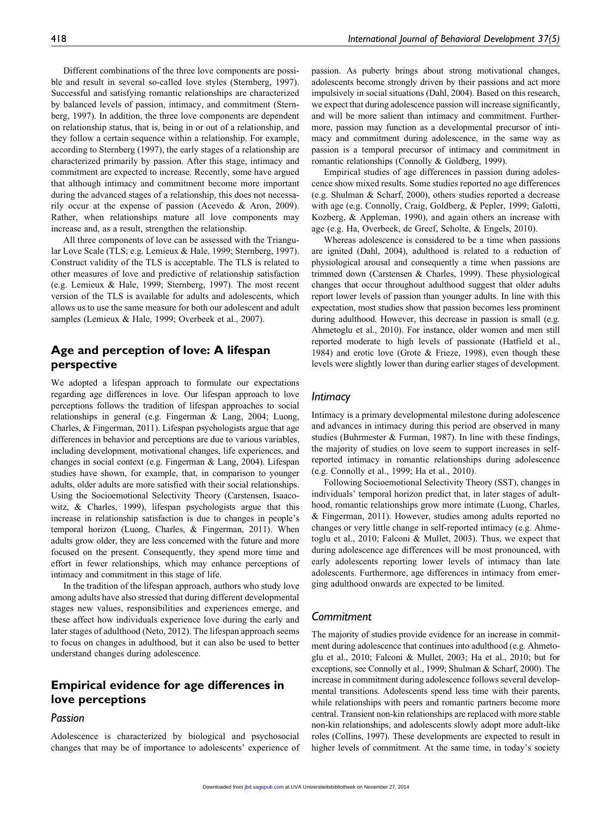Different combinations of the three love components are possible and result in several so-called love styles (Sternberg, 1997). Successful and satisfying romantic relationships are characterized by balanced levels of passion, intimacy, and commitment (Sternberg, 1997). In addition, the three love components are dependent on relationship status, that is, being in or out of a relationship, and they follow a certain sequence within a relationship. For example, according to Sternberg (1997), the early stages of a relationship are characterized primarily by passion. After this stage, intimacy and commitment are expected to increase. Recently, some have argued that although intimacy and commitment become more important during the advanced stages of a relationship, this does not necessarily occur at the expense of passion (Acevedo & Aron, 2009). Rather, when relationships mature all love components may increase and, as a result, strengthen the relationship.

All three components of love can be assessed with the Triangular Love Scale (TLS; e.g. Lemieux & Hale, 1999; Sternberg, 1997). Construct validity of the TLS is acceptable. The TLS is related to other measures of love and predictive of relationship satisfaction (e.g. Lemieux & Hale, 1999; Sternberg, 1997). The most recent version of the TLS is available for adults and adolescents, which allows us to use the same measure for both our adolescent and adult samples (Lemieux & Hale, 1999; Overbeek et al., 2007).

## Age and perception of love: A lifespan perspective

We adopted a lifespan approach to formulate our expectations regarding age differences in love. Our lifespan approach to love perceptions follows the tradition of lifespan approaches to social relationships in general (e.g. Fingerman & Lang, 2004; Luong, Charles, & Fingerman, 2011). Lifespan psychologists argue that age differences in behavior and perceptions are due to various variables, including development, motivational changes, life experiences, and changes in social context (e.g. Fingerman & Lang, 2004). Lifespan studies have shown, for example, that, in comparison to younger adults, older adults are more satisfied with their social relationships. Using the Socioemotional Selectivity Theory (Carstensen, Isaacowitz, & Charles, 1999), lifespan psychologists argue that this increase in relationship satisfaction is due to changes in people's temporal horizon (Luong, Charles, & Fingerman, 2011). When adults grow older, they are less concerned with the future and more focused on the present. Consequently, they spend more time and effort in fewer relationships, which may enhance perceptions of intimacy and commitment in this stage of life.

In the tradition of the lifespan approach, authors who study love among adults have also stressed that during different developmental stages new values, responsibilities and experiences emerge, and these affect how individuals experience love during the early and later stages of adulthood (Neto, 2012). The lifespan approach seems to focus on changes in adulthood, but it can also be used to better understand changes during adolescence.

## Empirical evidence for age differences in love perceptions

#### Passion

Adolescence is characterized by biological and psychosocial changes that may be of importance to adolescents' experience of passion. As puberty brings about strong motivational changes, adolescents become strongly driven by their passions and act more impulsively in social situations (Dahl, 2004). Based on this research, we expect that during adolescence passion will increase significantly, and will be more salient than intimacy and commitment. Furthermore, passion may function as a developmental precursor of intimacy and commitment during adolescence, in the same way as passion is a temporal precursor of intimacy and commitment in romantic relationships (Connolly & Goldberg, 1999).

Empirical studies of age differences in passion during adolescence show mixed results. Some studies reported no age differences (e.g. Shulman & Scharf, 2000), others studies reported a decrease with age (e.g. Connolly, Craig, Goldberg, & Pepler, 1999; Galotti, Kozberg, & Appleman, 1990), and again others an increase with age (e.g. Ha, Overbeek, de Greef, Scholte, & Engels, 2010).

Whereas adolescence is considered to be a time when passions are ignited (Dahl, 2004), adulthood is related to a reduction of physiological arousal and consequently a time when passions are trimmed down (Carstensen & Charles, 1999). These physiological changes that occur throughout adulthood suggest that older adults report lower levels of passion than younger adults. In line with this expectation, most studies show that passion becomes less prominent during adulthood. However, this decrease in passion is small (e.g. Ahmetoglu et al., 2010). For instance, older women and men still reported moderate to high levels of passionate (Hatfield et al., 1984) and erotic love (Grote & Frieze, 1998), even though these levels were slightly lower than during earlier stages of development.

#### Intimacy

Intimacy is a primary developmental milestone during adolescence and advances in intimacy during this period are observed in many studies (Buhrmester & Furman, 1987). In line with these findings, the majority of studies on love seem to support increases in selfreported intimacy in romantic relationships during adolescence (e.g. Connolly et al., 1999; Ha et al., 2010).

Following Socioemotional Selectivity Theory (SST), changes in individuals' temporal horizon predict that, in later stages of adulthood, romantic relationships grow more intimate (Luong, Charles, & Fingerman, 2011). However, studies among adults reported no changes or very little change in self-reported intimacy (e.g. Ahmetoglu et al., 2010; Falconi & Mullet, 2003). Thus, we expect that during adolescence age differences will be most pronounced, with early adolescents reporting lower levels of intimacy than late adolescents. Furthermore, age differences in intimacy from emerging adulthood onwards are expected to be limited.

#### Commitment

The majority of studies provide evidence for an increase in commitment during adolescence that continues into adulthood (e.g. Ahmetoglu et al., 2010; Falconi & Mullet, 2003; Ha et al., 2010; but for exceptions, see Connolly et al., 1999; Shulman & Scharf, 2000). The increase in commitment during adolescence follows several developmental transitions. Adolescents spend less time with their parents, while relationships with peers and romantic partners become more central. Transient non-kin relationships are replaced with more stable non-kin relationships, and adolescents slowly adopt more adult-like roles (Collins, 1997). These developments are expected to result in higher levels of commitment. At the same time, in today's society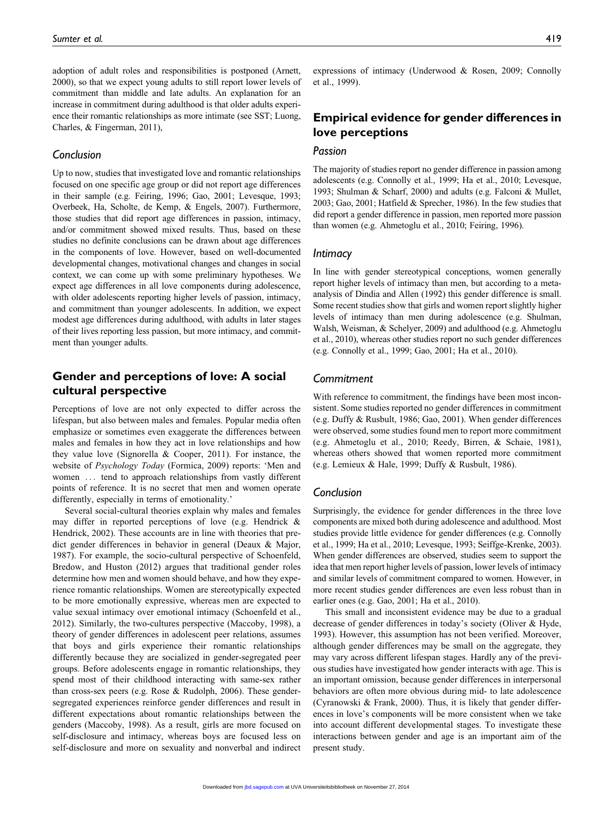adoption of adult roles and responsibilities is postponed (Arnett, 2000), so that we expect young adults to still report lower levels of commitment than middle and late adults. An explanation for an increase in commitment during adulthood is that older adults experience their romantic relationships as more intimate (see SST; Luong, Charles, & Fingerman, 2011),

#### Conclusion

Up to now, studies that investigated love and romantic relationships focused on one specific age group or did not report age differences in their sample (e.g. Feiring, 1996; Gao, 2001; Levesque, 1993; Overbeek, Ha, Scholte, de Kemp, & Engels, 2007). Furthermore, those studies that did report age differences in passion, intimacy, and/or commitment showed mixed results. Thus, based on these studies no definite conclusions can be drawn about age differences in the components of love. However, based on well-documented developmental changes, motivational changes and changes in social context, we can come up with some preliminary hypotheses. We expect age differences in all love components during adolescence, with older adolescents reporting higher levels of passion, intimacy, and commitment than younger adolescents. In addition, we expect modest age differences during adulthood, with adults in later stages of their lives reporting less passion, but more intimacy, and commitment than younger adults.

## Gender and perceptions of love: A social cultural perspective

Perceptions of love are not only expected to differ across the lifespan, but also between males and females. Popular media often emphasize or sometimes even exaggerate the differences between males and females in how they act in love relationships and how they value love (Signorella & Cooper, 2011). For instance, the website of Psychology Today (Formica, 2009) reports: 'Men and women ... tend to approach relationships from vastly different points of reference. It is no secret that men and women operate differently, especially in terms of emotionality.'

Several social-cultural theories explain why males and females may differ in reported perceptions of love (e.g. Hendrick & Hendrick, 2002). These accounts are in line with theories that predict gender differences in behavior in general (Deaux & Major, 1987). For example, the socio-cultural perspective of Schoenfeld, Bredow, and Huston (2012) argues that traditional gender roles determine how men and women should behave, and how they experience romantic relationships. Women are stereotypically expected to be more emotionally expressive, whereas men are expected to value sexual intimacy over emotional intimacy (Schoenfeld et al., 2012). Similarly, the two-cultures perspective (Maccoby, 1998), a theory of gender differences in adolescent peer relations, assumes that boys and girls experience their romantic relationships differently because they are socialized in gender-segregated peer groups. Before adolescents engage in romantic relationships, they spend most of their childhood interacting with same-sex rather than cross-sex peers (e.g. Rose & Rudolph, 2006). These gendersegregated experiences reinforce gender differences and result in different expectations about romantic relationships between the genders (Maccoby, 1998). As a result, girls are more focused on self-disclosure and intimacy, whereas boys are focused less on self-disclosure and more on sexuality and nonverbal and indirect expressions of intimacy (Underwood & Rosen, 2009; Connolly et al., 1999).

## Empirical evidence for gender differences in love perceptions

### Passion

The majority of studies report no gender difference in passion among adolescents (e.g. Connolly et al., 1999; Ha et al., 2010; Levesque, 1993; Shulman & Scharf, 2000) and adults (e.g. Falconi & Mullet, 2003; Gao, 2001; Hatfield & Sprecher, 1986). In the few studies that did report a gender difference in passion, men reported more passion than women (e.g. Ahmetoglu et al., 2010; Feiring, 1996).

#### Intimacy

In line with gender stereotypical conceptions, women generally report higher levels of intimacy than men, but according to a metaanalysis of Dindia and Allen (1992) this gender difference is small. Some recent studies show that girls and women report slightly higher levels of intimacy than men during adolescence (e.g. Shulman, Walsh, Weisman, & Schelyer, 2009) and adulthood (e.g. Ahmetoglu et al., 2010), whereas other studies report no such gender differences (e.g. Connolly et al., 1999; Gao, 2001; Ha et al., 2010).

#### Commitment

With reference to commitment, the findings have been most inconsistent. Some studies reported no gender differences in commitment (e.g. Duffy & Rusbult, 1986; Gao, 2001). When gender differences were observed, some studies found men to report more commitment (e.g. Ahmetoglu et al., 2010; Reedy, Birren, & Schaie, 1981), whereas others showed that women reported more commitment (e.g. Lemieux & Hale, 1999; Duffy & Rusbult, 1986).

#### **Conclusion**

Surprisingly, the evidence for gender differences in the three love components are mixed both during adolescence and adulthood. Most studies provide little evidence for gender differences (e.g. Connolly et al., 1999; Ha et al., 2010; Levesque, 1993; Seiffge-Krenke, 2003). When gender differences are observed, studies seem to support the idea that men report higher levels of passion, lower levels of intimacy and similar levels of commitment compared to women. However, in more recent studies gender differences are even less robust than in earlier ones (e.g. Gao, 2001; Ha et al., 2010).

This small and inconsistent evidence may be due to a gradual decrease of gender differences in today's society (Oliver & Hyde, 1993). However, this assumption has not been verified. Moreover, although gender differences may be small on the aggregate, they may vary across different lifespan stages. Hardly any of the previous studies have investigated how gender interacts with age. This is an important omission, because gender differences in interpersonal behaviors are often more obvious during mid- to late adolescence (Cyranowski & Frank, 2000). Thus, it is likely that gender differences in love's components will be more consistent when we take into account different developmental stages. To investigate these interactions between gender and age is an important aim of the present study.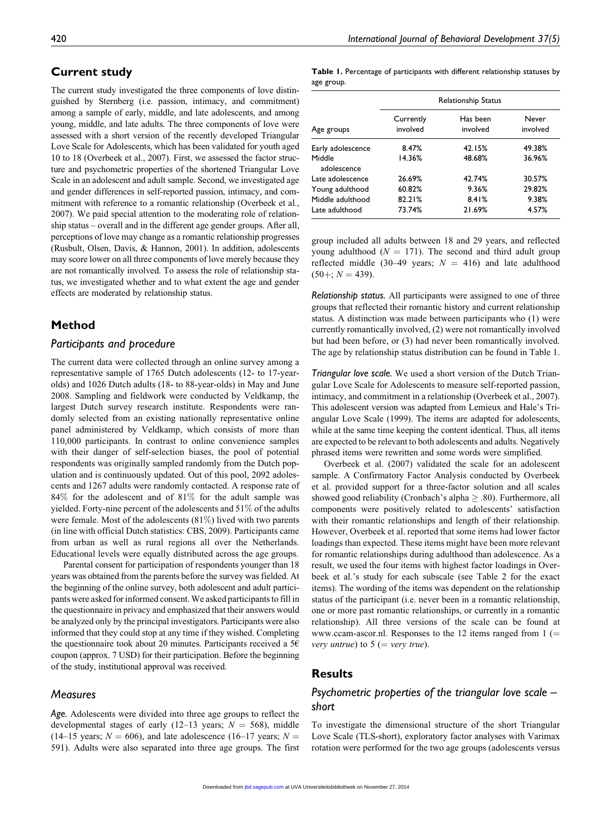#### Current study

The current study investigated the three components of love distinguished by Sternberg (i.e. passion, intimacy, and commitment) among a sample of early, middle, and late adolescents, and among young, middle, and late adults. The three components of love were assessed with a short version of the recently developed Triangular Love Scale for Adolescents, which has been validated for youth aged 10 to 18 (Overbeek et al., 2007). First, we assessed the factor structure and psychometric properties of the shortened Triangular Love Scale in an adolescent and adult sample. Second, we investigated age and gender differences in self-reported passion, intimacy, and commitment with reference to a romantic relationship (Overbeek et al., 2007). We paid special attention to the moderating role of relationship status – overall and in the different age gender groups. After all, perceptions of love may change as a romantic relationship progresses (Rusbult, Olsen, Davis, & Hannon, 2001). In addition, adolescents may score lower on all three components of love merely because they are not romantically involved. To assess the role of relationship status, we investigated whether and to what extent the age and gender effects are moderated by relationship status.

## Method

#### Participants and procedure

The current data were collected through an online survey among a representative sample of 1765 Dutch adolescents (12- to 17-yearolds) and 1026 Dutch adults (18- to 88-year-olds) in May and June 2008. Sampling and fieldwork were conducted by Veldkamp, the largest Dutch survey research institute. Respondents were randomly selected from an existing nationally representative online panel administered by Veldkamp, which consists of more than 110,000 participants. In contrast to online convenience samples with their danger of self-selection biases, the pool of potential respondents was originally sampled randomly from the Dutch population and is continuously updated. Out of this pool, 2092 adolescents and 1267 adults were randomly contacted. A response rate of 84% for the adolescent and of 81% for the adult sample was yielded. Forty-nine percent of the adolescents and 51% of the adults were female. Most of the adolescents (81%) lived with two parents (in line with official Dutch statistics: CBS, 2009). Participants came from urban as well as rural regions all over the Netherlands. Educational levels were equally distributed across the age groups.

Parental consent for participation of respondents younger than 18 years was obtained from the parents before the survey was fielded. At the beginning of the online survey, both adolescent and adult participants were asked for informed consent.We asked participants to fill in the questionnaire in privacy and emphasized that their answers would be analyzed only by the principal investigators. Participants were also informed that they could stop at any time if they wished. Completing the questionnaire took about 20 minutes. Participants received a 5 $\epsilon$ coupon (approx. 7 USD) for their participation. Before the beginning of the study, institutional approval was received.

## **Measures**

Age. Adolescents were divided into three age groups to reflect the developmental stages of early (12–13 years;  $N = 568$ ), middle (14–15 years;  $N = 606$ ), and late adolescence (16–17 years;  $N =$ 591). Adults were also separated into three age groups. The first

Table 1. Percentage of participants with different relationship statuses by age group.

|                       | <b>Relationship Status</b> |                      |                   |  |  |
|-----------------------|----------------------------|----------------------|-------------------|--|--|
| Age groups            | Currently<br>involved      | Has been<br>involved | Never<br>involved |  |  |
| Early adolescence     | 8.47%                      | 42.15%               | 49.38%            |  |  |
| Middle<br>adolescence | 14.36%                     | 48.68%               | 36.96%            |  |  |
| Late adolescence      | 26.69%                     | 42.74%               | 30.57%            |  |  |
| Young adulthood       | 60.82%                     | 9.36%                | 29.82%            |  |  |
| Middle adulthood      | 82.21%                     | 8.41%                | 9.38%             |  |  |
| Late adulthood        | 73.74%                     | 21.69%               | 4.57%             |  |  |

group included all adults between 18 and 29 years, and reflected young adulthood ( $N = 171$ ). The second and third adult group reflected middle (30–49 years;  $N = 416$ ) and late adulthood  $(50+; N = 439).$ 

Relationship status. All participants were assigned to one of three groups that reflected their romantic history and current relationship status. A distinction was made between participants who (1) were currently romantically involved, (2) were not romantically involved but had been before, or (3) had never been romantically involved. The age by relationship status distribution can be found in Table 1.

Triangular love scale. We used a short version of the Dutch Triangular Love Scale for Adolescents to measure self-reported passion, intimacy, and commitment in a relationship (Overbeek et al., 2007). This adolescent version was adapted from Lemieux and Hale's Triangular Love Scale (1999). The items are adapted for adolescents, while at the same time keeping the content identical. Thus, all items are expected to be relevant to both adolescents and adults. Negatively phrased items were rewritten and some words were simplified.

Overbeek et al. (2007) validated the scale for an adolescent sample. A Confirmatory Factor Analysis conducted by Overbeek et al. provided support for a three-factor solution and all scales showed good reliability (Cronbach's alpha  $\geq .80$ ). Furthermore, all components were positively related to adolescents' satisfaction with their romantic relationships and length of their relationship. However, Overbeek et al. reported that some items had lower factor loadings than expected. These items might have been more relevant for romantic relationships during adulthood than adolescence. As a result, we used the four items with highest factor loadings in Overbeek et al.'s study for each subscale (see Table 2 for the exact items). The wording of the items was dependent on the relationship status of the participant (i.e. never been in a romantic relationship, one or more past romantic relationships, or currently in a romantic relationship). All three versions of the scale can be found at www.ccam-ascor.nl. Responses to the 12 items ranged from  $1$  (= very untrue) to  $5 (= very true)$ .

## Results

## Psychometric properties of the triangular love scale – short

To investigate the dimensional structure of the short Triangular Love Scale (TLS-short), exploratory factor analyses with Varimax rotation were performed for the two age groups (adolescents versus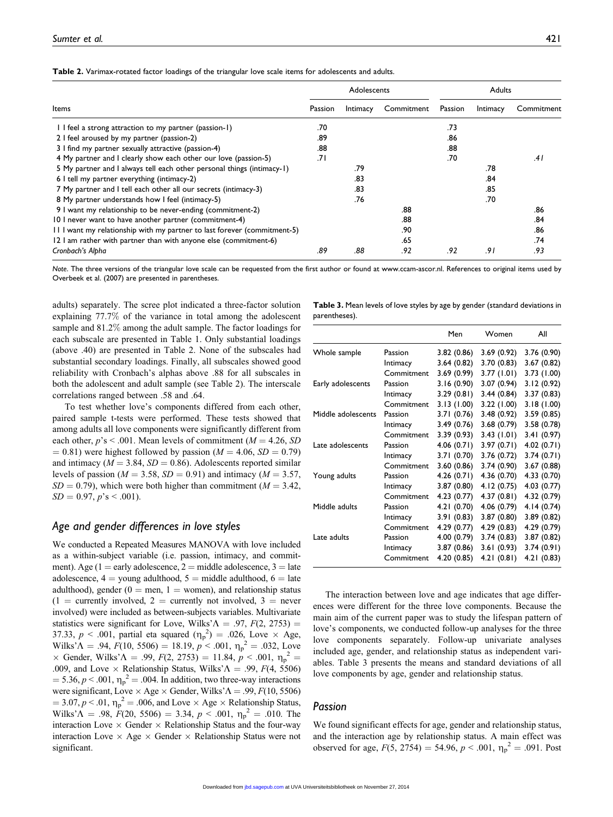|  |  |  |  |  | Table 2. Varimax-rotated factor loadings of the triangular love scale items for adolescents and adults. |
|--|--|--|--|--|---------------------------------------------------------------------------------------------------------|
|--|--|--|--|--|---------------------------------------------------------------------------------------------------------|

|                                                                         | Adolescents |          |            | <b>Adults</b> |                 |            |
|-------------------------------------------------------------------------|-------------|----------|------------|---------------|-----------------|------------|
| Items                                                                   | Passion     | Intimacy | Commitment | Passion       | <b>Intimacy</b> | Commitment |
| I I feel a strong attraction to my partner (passion-1)                  | .70         |          |            | .73           |                 |            |
| 2 I feel aroused by my partner (passion-2)                              | .89         |          |            | .86           |                 |            |
| 3 I find my partner sexually attractive (passion-4)                     | .88         |          |            | .88           |                 |            |
| 4 My partner and I clearly show each other our love (passion-5)         | .71         |          |            | .70           |                 | ا 4.       |
| 5 My partner and I always tell each other personal things (intimacy-1)  |             | .79      |            |               | .78             |            |
| 6 I tell my partner everything (intimacy-2)                             |             | .83      |            |               | .84             |            |
| 7 My partner and I tell each other all our secrets (intimacy-3)         |             | .83      |            |               | .85             |            |
| 8 My partner understands how I feel (intimacy-5)                        |             | .76      |            |               | .70             |            |
| 9 I want my relationship to be never-ending (commitment-2)              |             |          | .88        |               |                 | .86        |
| 10 I never want to have another partner (commitment-4)                  |             |          | .88        |               |                 | .84        |
| III want my relationship with my partner to last forever (commitment-5) |             |          | .90        |               |                 | .86        |
| 12 I am rather with partner than with anyone else (commitment-6)        |             |          | .65        |               |                 | .74        |
| Cronbach's Alpha                                                        | .89         | .88      | .92        | .92           | 91.             | .93        |

Note. The three versions of the triangular love scale can be requested from the first author or found at www.ccam-ascor.nl. References to original items used by Overbeek et al. (2007) are presented in parentheses.

parentheses).

adults) separately. The scree plot indicated a three-factor solution explaining 77.7% of the variance in total among the adolescent sample and 81.2% among the adult sample. The factor loadings for each subscale are presented in Table 1. Only substantial loadings (above .40) are presented in Table 2. None of the subscales had substantial secondary loadings. Finally, all subscales showed good reliability with Cronbach's alphas above .88 for all subscales in both the adolescent and adult sample (see Table 2). The interscale correlations ranged between .58 and .64.

To test whether love's components differed from each other, paired sample t-tests were performed. These tests showed that among adults all love components were significantly different from each other,  $p$ 's < .001. Mean levels of commitment ( $M = 4.26$ , SD  $(0.81)$  were highest followed by passion ( $M = 4.06$ ,  $SD = 0.79$ ) and intimacy ( $M = 3.84$ ,  $SD = 0.86$ ). Adolescents reported similar levels of passion ( $M = 3.58$ ,  $SD = 0.91$ ) and intimacy ( $M = 3.57$ ,  $SD = 0.79$ ), which were both higher than commitment ( $M = 3.42$ ,  $SD = 0.97, p's < .001$ .

## Age and gender differences in love styles

We conducted a Repeated Measures MANOVA with love included as a within-subject variable (i.e. passion, intimacy, and commitment). Age (1 = early adolescence, 2 = middle adolescence,  $3 =$  late adolescence,  $4 =$ young adulthood,  $5 =$  middle adulthood,  $6 =$  late adulthood), gender ( $0 = \text{men}$ ,  $1 = \text{woman}$ ), and relationship status  $(1 =$  currently involved,  $2 =$  currently not involved,  $3 =$  never involved) were included as between-subjects variables. Multivariate statistics were significant for Love, Wilks' $\Lambda = .97, F(2, 2753) =$ 37.33,  $p < .001$ , partial eta squared  $(\eta_p^2) = .026$ , Love  $\times$  Age, Wilks' $\Lambda = .94$ ,  $F(10, 5506) = 18.19$ ,  $p < .001$ ,  $\eta_p^2 = .032$ , Love  $\times$  Gender, Wilks' $\Lambda = .99, F(2, 2753) = 11.84, p < .001, \eta_p^2 =$ .009, and Love  $\times$  Relationship Status, Wilks' $\Lambda = .99, F(4, 5506)$  $= 5.36, p < .001, \eta_p^2 = .004$ . In addition, two three-way interactions were significant, Love  $\times$  Age  $\times$  Gender, Wilks' $\Lambda = .99, F(10, 5506)$  $= 3.07, p < 0.01, \eta_p^2 = .006$ , and Love  $\times$  Age  $\times$  Relationship Status, Wilks' $\Lambda = .98, F(20, 5506) = 3.34, p < .001, \eta_p^2 = .010$ . The interaction Love  $\times$  Gender  $\times$  Relationship Status and the four-way interaction Love  $\times$  Age  $\times$  Gender  $\times$  Relationship Status were not significant.

|                    |            | Men         | Women       | All         |
|--------------------|------------|-------------|-------------|-------------|
| Whole sample       | Passion    | 3.82(0.86)  | 3.69(0.92)  | 3.76 (0.90) |
|                    | Intimacy   | 3.64(0.82)  | 3.70(0.83)  | 3.67(0.82)  |
|                    | Commitment | 3.69(0.99)  | 3.77(1.01)  | 3.73(1.00)  |
| Early adolescents  | Passion    | 3.16(0.90)  | 3.07(0.94)  | 3.12(0.92)  |
|                    | Intimacy   | 3.29(0.81)  | 3.44(0.84)  | 3.37(0.83)  |
|                    | Commitment | 3.13(1.00)  | 3.22(1.00)  | 3.18(1.00)  |
| Middle adolescents | Passion    | 3.71(0.76)  | 3.48(0.92)  | 3.59(0.85)  |
|                    | Intimacy   | 3.49(0.76)  | 3.68(0.79)  | 3.58(0.78)  |
|                    | Commitment | 3.39 (0.93) | 3.43(1.01)  | 3.41(0.97)  |
| Late adolescents   | Passion    | 4.06(0.71)  | 3.97(0.71)  | 4.02(0.71)  |
|                    | Intimacy   | 3.71(0.70)  | 3.76(0.72)  | 3.74(0.71)  |
|                    | Commitment | 3.60(0.86)  | 3.74(0.90)  | 3.67(0.88)  |
| Young adults       | Passion    | 4.26(0.71)  | 4.36 (0.70) | 4.33(0.70)  |
|                    | Intimacy   | 3.87 (0.80) | 4.12(0.75)  | 4.03(0.77)  |
|                    | Commitment | 4.23(0.77)  | 4.37(0.81)  | 4.32 (0.79) |
| Middle adults      | Passion    | 4.21(0.70)  | 4.06 (0.79) | 4.14(0.74)  |
|                    | Intimacy   | 3.91(0.83)  | 3.87(0.80)  | 3.89(0.82)  |
|                    | Commitment | 4.29 (0.77) | 4.29(0.83)  | 4.29 (0.79) |
| Late adults        | Passion    | 4.00 (0.79) | 3.74(0.83)  | 3.87(0.82)  |
|                    | Intimacy   | 3.87(0.86)  | 3.61(0.93)  | 3.74(0.91)  |
|                    | Commitment | 4.20(0.85)  | 4.21(0.81)  | 4.21(0.83)  |

The interaction between love and age indicates that age differences were different for the three love components. Because the main aim of the current paper was to study the lifespan pattern of love's components, we conducted follow-up analyses for the three love components separately. Follow-up univariate analyses included age, gender, and relationship status as independent variables. Table 3 presents the means and standard deviations of all love components by age, gender and relationship status.

#### Passion

We found significant effects for age, gender and relationship status, and the interaction age by relationship status. A main effect was observed for age,  $F(5, 2754) = 54.96$ ,  $p < .001$ ,  $\eta_p^2 = .091$ . Post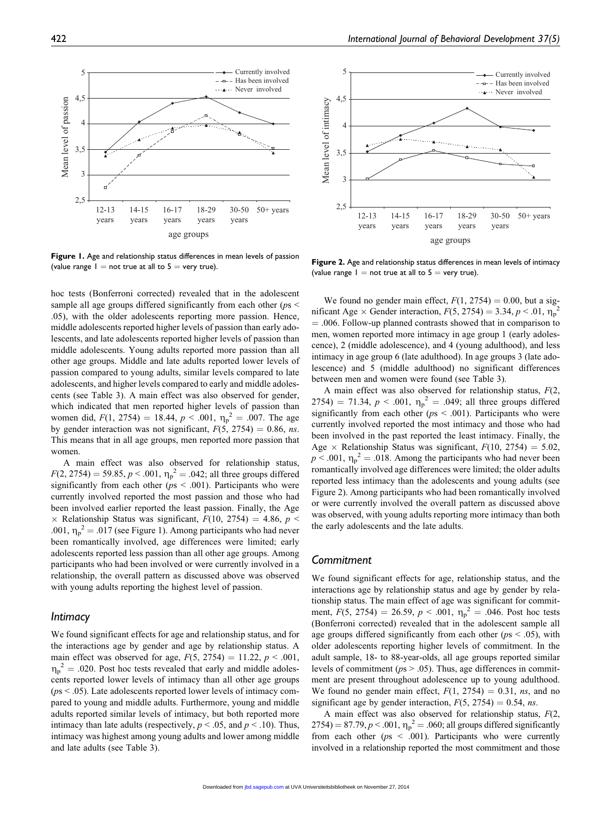

Figure 1. Age and relationship status differences in mean levels of passion (value range  $1 = not true$  at all to  $5 = very$  true).

hoc tests (Bonferroni corrected) revealed that in the adolescent sample all age groups differed significantly from each other ( $ps <$ .05), with the older adolescents reporting more passion. Hence, middle adolescents reported higher levels of passion than early adolescents, and late adolescents reported higher levels of passion than middle adolescents. Young adults reported more passion than all other age groups. Middle and late adults reported lower levels of passion compared to young adults, similar levels compared to late adolescents, and higher levels compared to early and middle adolescents (see Table 3). A main effect was also observed for gender, which indicated that men reported higher levels of passion than women did,  $F(1, 2754) = 18.44$ ,  $p < .001$ ,  $\eta_p^2 = .007$ . The age by gender interaction was not significant,  $F(5, 2754) = 0.86$ , ns. This means that in all age groups, men reported more passion that women.

A main effect was also observed for relationship status,  $F(2, 2754) = 59.85, p < .001, \eta_p^2 = .042$ ; all three groups differed significantly from each other ( $ps < .001$ ). Participants who were currently involved reported the most passion and those who had been involved earlier reported the least passion. Finally, the Age  $\times$  Relationship Status was significant,  $F(10, 2754) = 4.86$ ,  $p <$ .001,  $\eta_p^2 = .017$  (see Figure 1). Among participants who had never been romantically involved, age differences were limited; early adolescents reported less passion than all other age groups. Among participants who had been involved or were currently involved in a relationship, the overall pattern as discussed above was observed with young adults reporting the highest level of passion.

#### **Intimacy**

We found significant effects for age and relationship status, and for the interactions age by gender and age by relationship status. A main effect was observed for age,  $F(5, 2754) = 11.22, p < .001$ ,  $\eta_p^2$  = .020. Post hoc tests revealed that early and middle adolescents reported lower levels of intimacy than all other age groups  $(ps < .05)$ . Late adolescents reported lower levels of intimacy compared to young and middle adults. Furthermore, young and middle adults reported similar levels of intimacy, but both reported more intimacy than late adults (respectively,  $p < .05$ , and  $p < .10$ ). Thus, intimacy was highest among young adults and lower among middle and late adults (see Table 3).



Figure 2. Age and relationship status differences in mean levels of intimacy (value range  $1 =$  not true at all to  $5 =$  very true).

We found no gender main effect,  $F(1, 2754) = 0.00$ , but a significant Age  $\times$  Gender interaction,  $F(5, 2754) = 3.34, p < .01, \eta_p^2$  $= .006$ . Follow-up planned contrasts showed that in comparison to men, women reported more intimacy in age group 1 (early adolescence), 2 (middle adolescence), and 4 (young adulthood), and less intimacy in age group 6 (late adulthood). In age groups 3 (late adolescence) and 5 (middle adulthood) no significant differences between men and women were found (see Table 3).

A main effect was also observed for relationship status,  $F(2, 1)$ 2754) = 71.34,  $p < .001$ ,  $\eta_p^2 = .049$ ; all three groups differed significantly from each other ( $ps < .001$ ). Participants who were currently involved reported the most intimacy and those who had been involved in the past reported the least intimacy. Finally, the Age  $\times$  Relationship Status was significant,  $F(10, 2754) = 5.02$ ,  $p < .001$ ,  $\eta_p^2 = .018$ . Among the participants who had never been romantically involved age differences were limited; the older adults reported less intimacy than the adolescents and young adults (see Figure 2). Among participants who had been romantically involved or were currently involved the overall pattern as discussed above was observed, with young adults reporting more intimacy than both the early adolescents and the late adults.

#### **Commitment**

We found significant effects for age, relationship status, and the interactions age by relationship status and age by gender by relationship status. The main effect of age was significant for commitment,  $F(5, 2754) = 26.59, p < .001, \eta_p^2 = .046$ . Post hoc tests (Bonferroni corrected) revealed that in the adolescent sample all age groups differed significantly from each other ( $ps < .05$ ), with older adolescents reporting higher levels of commitment. In the adult sample, 18- to 88-year-olds, all age groups reported similar levels of commitment ( $ps > .05$ ). Thus, age differences in commitment are present throughout adolescence up to young adulthood. We found no gender main effect,  $F(1, 2754) = 0.31$ , ns, and no significant age by gender interaction,  $F(5, 2754) = 0.54$ , ns.

A main effect was also observed for relationship status,  $F(2, 1)$  $2754$ ) = 87.79, p < .001,  $\eta_p^2$  = .060; all groups differed significantly from each other ( $ps < .001$ ). Participants who were currently involved in a relationship reported the most commitment and those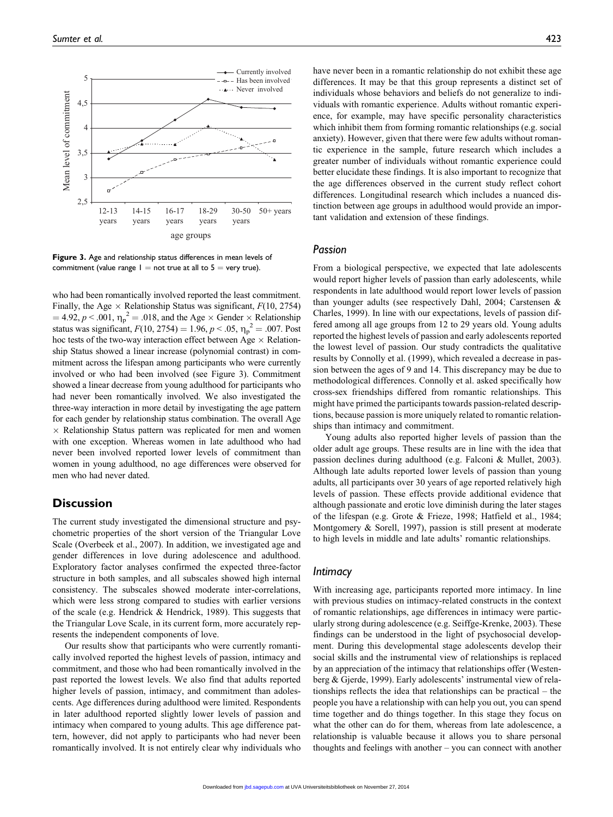

Figure 3. Age and relationship status differences in mean levels of commitment (value range  $1 =$  not true at all to  $5 =$  very true).

who had been romantically involved reported the least commitment. Finally, the Age  $\times$  Relationship Status was significant,  $F(10, 2754)$  $=$  4.92, p < .001,  $\eta_p^2 = .018$ , and the Age  $\times$  Gender  $\times$  Relationship status was significant,  $F(10, 2754) = 1.96, p < .05, \eta_p^2 = .007$ . Post hoc tests of the two-way interaction effect between Age  $\times$  Relationship Status showed a linear increase (polynomial contrast) in commitment across the lifespan among participants who were currently involved or who had been involved (see Figure 3). Commitment showed a linear decrease from young adulthood for participants who had never been romantically involved. We also investigated the three-way interaction in more detail by investigating the age pattern for each gender by relationship status combination. The overall Age  $\times$  Relationship Status pattern was replicated for men and women with one exception. Whereas women in late adulthood who had never been involved reported lower levels of commitment than women in young adulthood, no age differences were observed for men who had never dated.

#### **Discussion**

The current study investigated the dimensional structure and psychometric properties of the short version of the Triangular Love Scale (Overbeek et al., 2007). In addition, we investigated age and gender differences in love during adolescence and adulthood. Exploratory factor analyses confirmed the expected three-factor structure in both samples, and all subscales showed high internal consistency. The subscales showed moderate inter-correlations, which were less strong compared to studies with earlier versions of the scale (e.g. Hendrick & Hendrick, 1989). This suggests that the Triangular Love Scale, in its current form, more accurately represents the independent components of love.

Our results show that participants who were currently romantically involved reported the highest levels of passion, intimacy and commitment, and those who had been romantically involved in the past reported the lowest levels. We also find that adults reported higher levels of passion, intimacy, and commitment than adolescents. Age differences during adulthood were limited. Respondents in later adulthood reported slightly lower levels of passion and intimacy when compared to young adults. This age difference pattern, however, did not apply to participants who had never been romantically involved. It is not entirely clear why individuals who

have never been in a romantic relationship do not exhibit these age differences. It may be that this group represents a distinct set of individuals whose behaviors and beliefs do not generalize to individuals with romantic experience. Adults without romantic experience, for example, may have specific personality characteristics which inhibit them from forming romantic relationships (e.g. social anxiety). However, given that there were few adults without romantic experience in the sample, future research which includes a greater number of individuals without romantic experience could better elucidate these findings. It is also important to recognize that the age differences observed in the current study reflect cohort differences. Longitudinal research which includes a nuanced distinction between age groups in adulthood would provide an important validation and extension of these findings.

#### Passion

From a biological perspective, we expected that late adolescents would report higher levels of passion than early adolescents, while respondents in late adulthood would report lower levels of passion than younger adults (see respectively Dahl, 2004; Carstensen & Charles, 1999). In line with our expectations, levels of passion differed among all age groups from 12 to 29 years old. Young adults reported the highest levels of passion and early adolescents reported the lowest level of passion. Our study contradicts the qualitative results by Connolly et al. (1999), which revealed a decrease in passion between the ages of 9 and 14. This discrepancy may be due to methodological differences. Connolly et al. asked specifically how cross-sex friendships differed from romantic relationships. This might have primed the participants towards passion-related descriptions, because passion is more uniquely related to romantic relationships than intimacy and commitment.

Young adults also reported higher levels of passion than the older adult age groups. These results are in line with the idea that passion declines during adulthood (e.g. Falconi & Mullet, 2003). Although late adults reported lower levels of passion than young adults, all participants over 30 years of age reported relatively high levels of passion. These effects provide additional evidence that although passionate and erotic love diminish during the later stages of the lifespan (e.g. Grote & Frieze, 1998; Hatfield et al., 1984; Montgomery & Sorell, 1997), passion is still present at moderate to high levels in middle and late adults' romantic relationships.

#### **Intimacy**

With increasing age, participants reported more intimacy. In line with previous studies on intimacy-related constructs in the context of romantic relationships, age differences in intimacy were particularly strong during adolescence (e.g. Seiffge-Krenke, 2003). These findings can be understood in the light of psychosocial development. During this developmental stage adolescents develop their social skills and the instrumental view of relationships is replaced by an appreciation of the intimacy that relationships offer (Westenberg & Gjerde, 1999). Early adolescents' instrumental view of relationships reflects the idea that relationships can be practical – the people you have a relationship with can help you out, you can spend time together and do things together. In this stage they focus on what the other can do for them, whereas from late adolescence, a relationship is valuable because it allows you to share personal thoughts and feelings with another – you can connect with another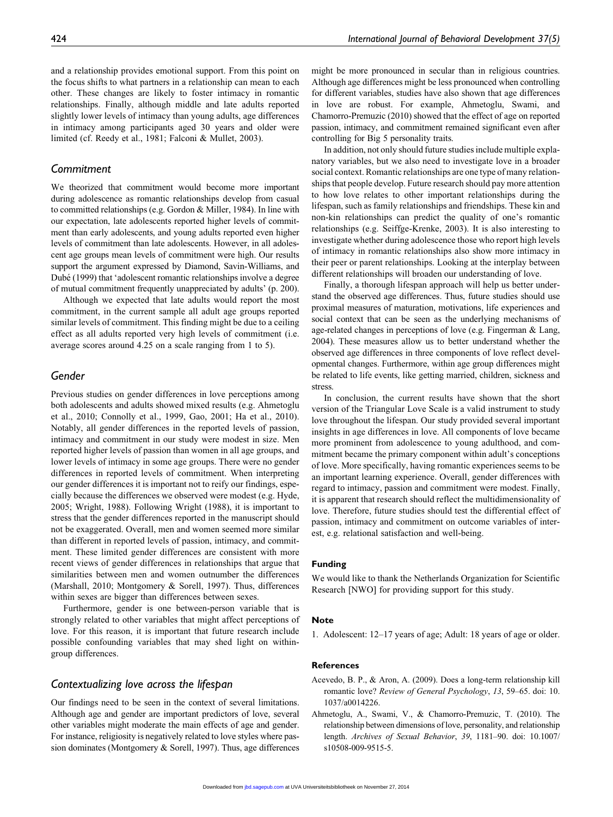and a relationship provides emotional support. From this point on the focus shifts to what partners in a relationship can mean to each other. These changes are likely to foster intimacy in romantic relationships. Finally, although middle and late adults reported slightly lower levels of intimacy than young adults, age differences in intimacy among participants aged 30 years and older were limited (cf. Reedy et al., 1981; Falconi & Mullet, 2003).

## **Commitment**

We theorized that commitment would become more important during adolescence as romantic relationships develop from casual to committed relationships (e.g. Gordon & Miller, 1984). In line with our expectation, late adolescents reported higher levels of commitment than early adolescents, and young adults reported even higher levels of commitment than late adolescents. However, in all adolescent age groups mean levels of commitment were high. Our results support the argument expressed by Diamond, Savin-Williams, and Dubé (1999) that 'adolescent romantic relationships involve a degree of mutual commitment frequently unappreciated by adults' (p. 200).

Although we expected that late adults would report the most commitment, in the current sample all adult age groups reported similar levels of commitment. This finding might be due to a ceiling effect as all adults reported very high levels of commitment (i.e. average scores around 4.25 on a scale ranging from 1 to 5).

#### Gender

Previous studies on gender differences in love perceptions among both adolescents and adults showed mixed results (e.g. Ahmetoglu et al., 2010; Connolly et al., 1999, Gao, 2001; Ha et al., 2010). Notably, all gender differences in the reported levels of passion, intimacy and commitment in our study were modest in size. Men reported higher levels of passion than women in all age groups, and lower levels of intimacy in some age groups. There were no gender differences in reported levels of commitment. When interpreting our gender differences it is important not to reify our findings, especially because the differences we observed were modest (e.g. Hyde, 2005; Wright, 1988). Following Wright (1988), it is important to stress that the gender differences reported in the manuscript should not be exaggerated. Overall, men and women seemed more similar than different in reported levels of passion, intimacy, and commitment. These limited gender differences are consistent with more recent views of gender differences in relationships that argue that similarities between men and women outnumber the differences (Marshall, 2010; Montgomery & Sorell, 1997). Thus, differences within sexes are bigger than differences between sexes.

Furthermore, gender is one between-person variable that is strongly related to other variables that might affect perceptions of love. For this reason, it is important that future research include possible confounding variables that may shed light on withingroup differences.

## Contextualizing love across the lifespan

Our findings need to be seen in the context of several limitations. Although age and gender are important predictors of love, several other variables might moderate the main effects of age and gender. For instance, religiosity is negatively related to love styles where passion dominates (Montgomery & Sorell, 1997). Thus, age differences might be more pronounced in secular than in religious countries. Although age differences might be less pronounced when controlling for different variables, studies have also shown that age differences in love are robust. For example, Ahmetoglu, Swami, and Chamorro-Premuzic (2010) showed that the effect of age on reported passion, intimacy, and commitment remained significant even after controlling for Big 5 personality traits.

In addition, not only should future studies include multiple explanatory variables, but we also need to investigate love in a broader social context. Romantic relationships are one type of many relationships that people develop. Future research should pay more attention to how love relates to other important relationships during the lifespan, such as family relationships and friendships. These kin and non-kin relationships can predict the quality of one's romantic relationships (e.g. Seiffge-Krenke, 2003). It is also interesting to investigate whether during adolescence those who report high levels of intimacy in romantic relationships also show more intimacy in their peer or parent relationships. Looking at the interplay between different relationships will broaden our understanding of love.

Finally, a thorough lifespan approach will help us better understand the observed age differences. Thus, future studies should use proximal measures of maturation, motivations, life experiences and social context that can be seen as the underlying mechanisms of age-related changes in perceptions of love (e.g. Fingerman & Lang, 2004). These measures allow us to better understand whether the observed age differences in three components of love reflect developmental changes. Furthermore, within age group differences might be related to life events, like getting married, children, sickness and stress.

In conclusion, the current results have shown that the short version of the Triangular Love Scale is a valid instrument to study love throughout the lifespan. Our study provided several important insights in age differences in love. All components of love became more prominent from adolescence to young adulthood, and commitment became the primary component within adult's conceptions of love. More specifically, having romantic experiences seems to be an important learning experience. Overall, gender differences with regard to intimacy, passion and commitment were modest. Finally, it is apparent that research should reflect the multidimensionality of love. Therefore, future studies should test the differential effect of passion, intimacy and commitment on outcome variables of interest, e.g. relational satisfaction and well-being.

#### Funding

We would like to thank the Netherlands Organization for Scientific Research [NWO] for providing support for this study.

#### Note

1. Adolescent: 12–17 years of age; Adult: 18 years of age or older.

#### **References**

- Acevedo, B. P., & Aron, A. (2009). Does a long-term relationship kill romantic love? Review of General Psychology, 13, 59–65. doi: 10. 1037/a0014226.
- Ahmetoglu, A., Swami, V., & Chamorro-Premuzic, T. (2010). The relationship between dimensions of love, personality, and relationship length. Archives of Sexual Behavior, 39, 1181–90. doi: 10.1007/ s10508-009-9515-5.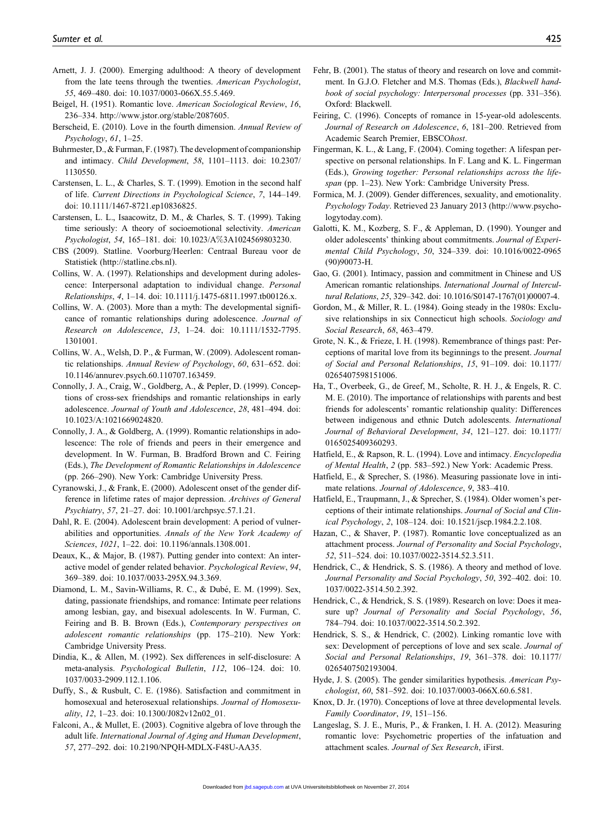- Arnett, J. J. (2000). Emerging adulthood: A theory of development from the late teens through the twenties. American Psychologist, 55, 469–480. doi: 10.1037/0003-066X.55.5.469.
- Beigel, H. (1951). Romantic love. American Sociological Review, 16, 236–334. [http://www.jstor.org/stable/2087605.](http://www.jstor.org/stable/2087605)
- Berscheid, E. (2010). Love in the fourth dimension. Annual Review of Psychology, 61, 1–25.
- Buhrmester, D., & Furman, F. (1987). The development of companionship and intimacy. Child Development, 58, 1101–1113. doi: 10.2307/ 1130550.
- Carstensen, L. L., & Charles, S. T. (1999). Emotion in the second half of life. Current Directions in Psychological Science, 7, 144–149. doi: 10.1111/1467-8721.ep10836825.
- Carstensen, L. L., Isaacowitz, D. M., & Charles, S. T. (1999). Taking time seriously: A theory of socioemotional selectivity. American Psychologist, 54, 165–181. doi: 10.1023/A%3A1024569803230.
- CBS (2009). Statline. Voorburg/Heerlen: Centraal Bureau voor de Statistiek (<http://statline.cbs.nl>).
- Collins, W. A. (1997). Relationships and development during adolescence: Interpersonal adaptation to individual change. Personal Relationships, 4, 1–14. doi: 10.1111/j.1475-6811.1997.tb00126.x.
- Collins, W. A. (2003). More than a myth: The developmental significance of romantic relationships during adolescence. Journal of Research on Adolescence, 13, 1–24. doi: 10.1111/1532-7795. 1301001.
- Collins, W. A., Welsh, D. P., & Furman, W. (2009). Adolescent romantic relationships. Annual Review of Psychology, 60, 631–652. doi: 10.1146/annurev.psych.60.110707.163459.
- Connolly, J. A., Craig, W., Goldberg, A., & Pepler, D. (1999). Conceptions of cross-sex friendships and romantic relationships in early adolescence. Journal of Youth and Adolescence, 28, 481–494. doi: 10.1023/A:1021669024820.
- Connolly, J. A., & Goldberg, A. (1999). Romantic relationships in adolescence: The role of friends and peers in their emergence and development. In W. Furman, B. Bradford Brown and C. Feiring (Eds.), The Development of Romantic Relationships in Adolescence (pp. 266–290). New York: Cambridge University Press.
- Cyranowski, J., & Frank, E. (2000). Adolescent onset of the gender difference in lifetime rates of major depression. Archives of General Psychiatry, 57, 21–27. doi: 10.1001/archpsyc.57.1.21.
- Dahl, R. E. (2004). Adolescent brain development: A period of vulnerabilities and opportunities. Annals of the New York Academy of Sciences, 1021, 1–22. doi: 10.1196/annals.1308.001.
- Deaux, K., & Major, B. (1987). Putting gender into context: An interactive model of gender related behavior. Psychological Review, 94, 369–389. doi: 10.1037/0033-295X.94.3.369.
- Diamond, L. M., Savin-Williams, R. C., & Dubé, E. M. (1999). Sex, dating, passionate friendships, and romance: Intimate peer relations among lesbian, gay, and bisexual adolescents. In W. Furman, C. Feiring and B. B. Brown (Eds.), Contemporary perspectives on adolescent romantic relationships (pp. 175–210). New York: Cambridge University Press.
- Dindia, K., & Allen, M. (1992). Sex differences in self-disclosure: A meta-analysis. Psychological Bulletin, 112, 106–124. doi: 10. 1037/0033-2909.112.1.106.
- Duffy, S., & Rusbult, C. E. (1986). Satisfaction and commitment in homosexual and heterosexual relationships. Journal of Homosexuality, 12, 1–23. doi: 10.1300/J082v12n02\_01.
- Falconi, A., & Mullet, E. (2003). Cognitive algebra of love through the adult life. International Journal of Aging and Human Development, 57, 277–292. doi: 10.2190/NPQH-MDLX-F48U-AA35.
- Fehr, B. (2001). The status of theory and research on love and commitment. In G.J.O. Fletcher and M.S. Thomas (Eds.), Blackwell handbook of social psychology: Interpersonal processes (pp. 331–356). Oxford: Blackwell.
- Feiring, C. (1996). Concepts of romance in 15-year-old adolescents. Journal of Research on Adolescence, 6, 181–200. Retrieved from Academic Search Premier, EBSCOhost.
- Fingerman, K. L., & Lang, F. (2004). Coming together: A lifespan perspective on personal relationships. In F. Lang and K. L. Fingerman (Eds.), Growing together: Personal relationships across the lifespan (pp. 1–23). New York: Cambridge University Press.
- Formica, M. J. (2009). Gender differences, sexuality, and emotionality. Psychology Today. Retrieved 23 January 2013 [\(http://www.psycho](http://www.psychologytoday.com)[logytoday.com\)](http://www.psychologytoday.com).
- Galotti, K. M., Kozberg, S. F., & Appleman, D. (1990). Younger and older adolescents' thinking about commitments. Journal of Experimental Child Psychology, 50, 324–339. doi: 10.1016/0022-0965 (90)90073-H.
- Gao, G. (2001). Intimacy, passion and commitment in Chinese and US American romantic relationships. International Journal of Intercultural Relations, 25, 329–342. doi: 10.1016/S0147-1767(01)00007-4.
- Gordon, M., & Miller, R. L. (1984). Going steady in the 1980s: Exclusive relationships in six Connecticut high schools. Sociology and Social Research, 68, 463–479.
- Grote, N. K., & Frieze, I. H. (1998). Remembrance of things past: Perceptions of marital love from its beginnings to the present. Journal of Social and Personal Relationships, 15, 91–109. doi: 10.1177/ 0265407598151006.
- Ha, T., Overbeek, G., de Greef, M., Scholte, R. H. J., & Engels, R. C. M. E. (2010). The importance of relationships with parents and best friends for adolescents' romantic relationship quality: Differences between indigenous and ethnic Dutch adolescents. International Journal of Behavioral Development, 34, 121–127. doi: 10.1177/ 0165025409360293.
- Hatfield, E., & Rapson, R. L. (1994). Love and intimacy. Encyclopedia of Mental Health, 2 (pp. 583–592.) New York: Academic Press.
- Hatfield, E., & Sprecher, S. (1986). Measuring passionate love in intimate relations. Journal of Adolescence, 9, 383–410.
- Hatfield, E., Traupmann, J., & Sprecher, S. (1984). Older women's perceptions of their intimate relationships. Journal of Social and Clinical Psychology, 2, 108–124. doi: 10.1521/jscp.1984.2.2.108.
- Hazan, C., & Shaver, P. (1987). Romantic love conceptualized as an attachment process. Journal of Personality and Social Psychology, 52, 511–524. doi: 10.1037/0022-3514.52.3.511.
- Hendrick, C., & Hendrick, S. S. (1986). A theory and method of love. Journal Personality and Social Psychology, 50, 392–402. doi: 10. 1037/0022-3514.50.2.392.
- Hendrick, C., & Hendrick, S. S. (1989). Research on love: Does it measure up? Journal of Personality and Social Psychology, 56, 784–794. doi: 10.1037/0022-3514.50.2.392.
- Hendrick, S. S., & Hendrick, C. (2002). Linking romantic love with sex: Development of perceptions of love and sex scale. Journal of Social and Personal Relationships, 19, 361–378. doi: 10.1177/ 0265407502193004.
- Hyde, J. S. (2005). The gender similarities hypothesis. American Psychologist, 60, 581–592. doi: 10.1037/0003-066X.60.6.581.
- Knox, D. Jr. (1970). Conceptions of love at three developmental levels. Family Coordinator, 19, 151–156.
- Langeslag, S. J. E., Muris, P., & Franken, I. H. A. (2012). Measuring romantic love: Psychometric properties of the infatuation and attachment scales. Journal of Sex Research, iFirst.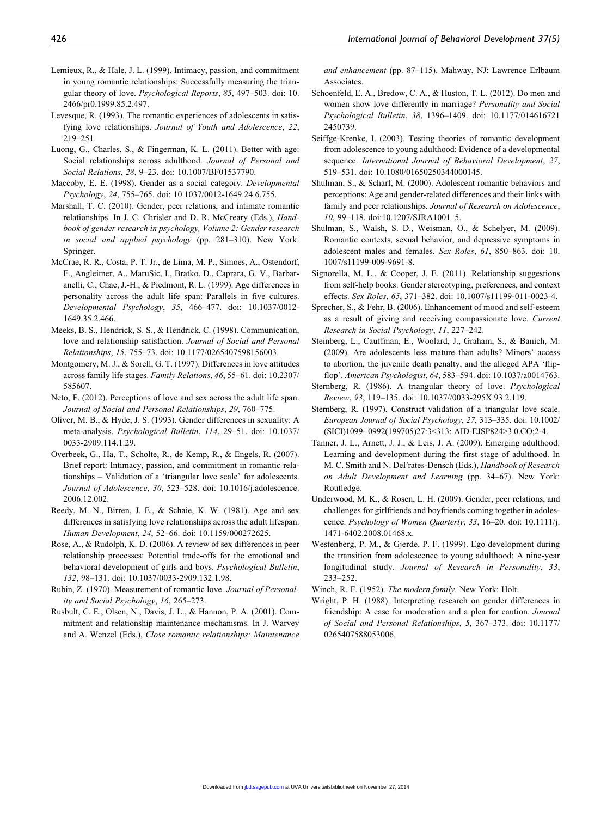- Lemieux, R., & Hale, J. L. (1999). Intimacy, passion, and commitment in young romantic relationships: Successfully measuring the triangular theory of love. Psychological Reports, 85, 497–503. doi: 10. 2466/pr0.1999.85.2.497.
- Levesque, R. (1993). The romantic experiences of adolescents in satisfying love relationships. Journal of Youth and Adolescence, 22, 219–251.
- Luong, G., Charles, S., & Fingerman, K. L. (2011). Better with age: Social relationships across adulthood. Journal of Personal and Social Relations, 28, 9–23. doi: 10.1007/BF01537790.
- Maccoby, E. E. (1998). Gender as a social category. Developmental Psychology, 24, 755–765. doi: 10.1037/0012-1649.24.6.755.
- Marshall, T. C. (2010). Gender, peer relations, and intimate romantic relationships. In J. C. Chrisler and D. R. McCreary (Eds.), Handbook of gender research in psychology, Volume 2: Gender research in social and applied psychology (pp. 281–310). New York: Springer.
- McCrae, R. R., Costa, P. T. Jr., de Lima, M. P., Simoes, A., Ostendorf, F., Angleitner, A., MaruSic, I., Bratko, D., Caprara, G. V., Barbaranelli, C., Chae, J.-H., & Piedmont, R. L. (1999). Age differences in personality across the adult life span: Parallels in five cultures. Developmental Psychology, 35, 466–477. doi: 10.1037/0012- 1649.35.2.466.
- Meeks, B. S., Hendrick, S. S., & Hendrick, C. (1998). Communication, love and relationship satisfaction. Journal of Social and Personal Relationships, 15, 755–73. doi: 10.1177/0265407598156003.
- Montgomery, M. J., & Sorell, G. T. (1997). Differences in love attitudes across family life stages. Family Relations, 46, 55–61. doi: 10.2307/ 585607.
- Neto, F. (2012). Perceptions of love and sex across the adult life span. Journal of Social and Personal Relationships, 29, 760–775.
- Oliver, M. B., & Hyde, J. S. (1993). Gender differences in sexuality: A meta-analysis. Psychological Bulletin, 114, 29–51. doi: 10.1037/ 0033-2909.114.1.29.
- Overbeek, G., Ha, T., Scholte, R., de Kemp, R., & Engels, R. (2007). Brief report: Intimacy, passion, and commitment in romantic relationships – Validation of a 'triangular love scale' for adolescents. Journal of Adolescence, 30, 523–528. doi: 10.1016/j.adolescence. 2006.12.002.
- Reedy, M. N., Birren, J. E., & Schaie, K. W. (1981). Age and sex differences in satisfying love relationships across the adult lifespan. Human Development, 24, 52–66. doi: 10.1159/000272625.
- Rose, A., & Rudolph, K. D. (2006). A review of sex differences in peer relationship processes: Potential trade-offs for the emotional and behavioral development of girls and boys. Psychological Bulletin, 132, 98–131. doi: 10.1037/0033-2909.132.1.98.
- Rubin, Z. (1970). Measurement of romantic love. Journal of Personality and Social Psychology, 16, 265–273.
- Rusbult, C. E., Olsen, N., Davis, J. L., & Hannon, P. A. (2001). Commitment and relationship maintenance mechanisms. In J. Warvey and A. Wenzel (Eds.), Close romantic relationships: Maintenance

and enhancement (pp. 87–115). Mahway, NJ: Lawrence Erlbaum Associates.

- Schoenfeld, E. A., Bredow, C. A., & Huston, T. L. (2012). Do men and women show love differently in marriage? Personality and Social Psychological Bulletin, 38, 1396–1409. doi: 10.1177/014616721 2450739.
- Seiffge-Krenke, I. (2003). Testing theories of romantic development from adolescence to young adulthood: Evidence of a developmental sequence. International Journal of Behavioral Development, 27, 519–531. doi: 10.1080/01650250344000145.
- Shulman, S., & Scharf, M. (2000). Adolescent romantic behaviors and perceptions: Age and gender-related differences and their links with family and peer relationships. Journal of Research on Adolescence, 10, 99–118. doi:10.1207/SJRA1001\_5.
- Shulman, S., Walsh, S. D., Weisman, O., & Schelyer, M. (2009). Romantic contexts, sexual behavior, and depressive symptoms in adolescent males and females. Sex Roles, 61, 850–863. doi: 10. 1007/s11199-009-9691-8.
- Signorella, M. L., & Cooper, J. E. (2011). Relationship suggestions from self-help books: Gender stereotyping, preferences, and context effects. Sex Roles, 65, 371–382. doi: 10.1007/s11199-011-0023-4.
- Sprecher, S., & Fehr, B. (2006). Enhancement of mood and self-esteem as a result of giving and receiving compassionate love. Current Research in Social Psychology, 11, 227–242.
- Steinberg, L., Cauffman, E., Woolard, J., Graham, S., & Banich, M. (2009). Are adolescents less mature than adults? Minors' access to abortion, the juvenile death penalty, and the alleged APA 'flipflop'. American Psychologist, 64, 583–594. doi: 10.1037/a0014763.
- Sternberg, R. (1986). A triangular theory of love. Psychological Review, 93, 119–135. doi: 10.1037//0033-295X.93.2.119.
- Sternberg, R. (1997). Construct validation of a triangular love scale. European Journal of Social Psychology, 27, 313–335. doi: 10.1002/ (SICI)1099- 0992(199705)27:3<313: AID-EJSP824>3.0.CO;2-4.
- Tanner, J. L., Arnett, J. J., & Leis, J. A. (2009). Emerging adulthood: Learning and development during the first stage of adulthood. In M. C. Smith and N. DeFrates-Densch (Eds.), Handbook of Research on Adult Development and Learning (pp. 34–67). New York: Routledge.
- Underwood, M. K., & Rosen, L. H. (2009). Gender, peer relations, and challenges for girlfriends and boyfriends coming together in adolescence. Psychology of Women Quarterly, 33, 16–20. doi: 10.1111/j. 1471-6402.2008.01468.x.
- Westenberg, P. M., & Gjerde, P. F. (1999). Ego development during the transition from adolescence to young adulthood: A nine-year longitudinal study. Journal of Research in Personality, 33, 233–252.
- Winch, R. F. (1952). The modern family. New York: Holt.
- Wright, P. H. (1988). Interpreting research on gender differences in friendship: A case for moderation and a plea for caution. Journal of Social and Personal Relationships, 5, 367–373. doi: 10.1177/ 0265407588053006.